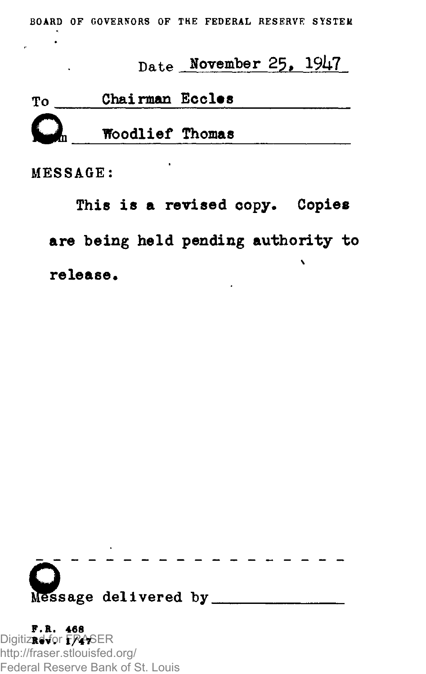**BOARD OF GOVERNORS OF THE FEDERAL RESERVE SYSTEM** 

## Date November 25, *19k7*

| Тο | Chairman Eccles |  |
|----|-----------------|--|
|    | Woodlief Thomas |  |

MESSAGE:

 $\sim$ 

This is a revised copy. Copies are being held pending authority to  $\ddot{\phantom{0}}$ release.



**F.R . 46 8**  Digitized **Rev**for **. 1/4** FRASER **7**  http://fraser.stlouisfed.org/ Federal Reserve Bank of St. Louis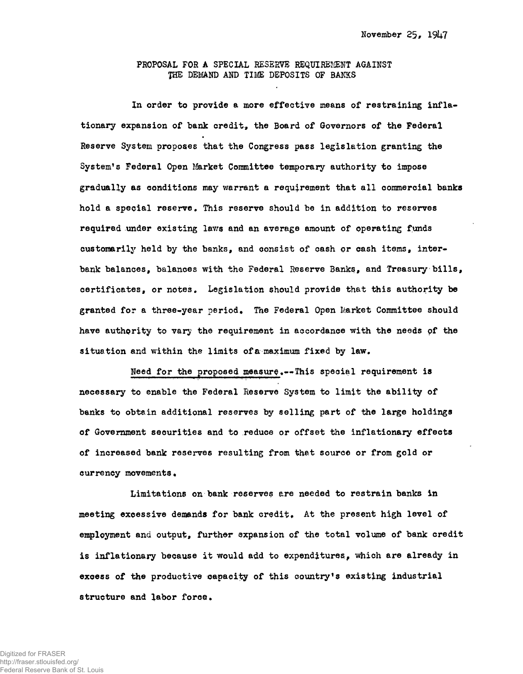## PROPOSAL FOR A SPECIAL RESERVE REQUIREMENT AGAINST THE DEMAND AND TIME DEPOSITS OF BANKS

In order to provide a more effective means of restraining inflationary expansion of bank credit, the Board of Governors of the Federal Reserve System proposes that the Congress pass legislation granting the System's Federal Open Market Committee temporary authority to impose gradually as conditions may warrant a requirement that all commercial banks hold a special reserve. This reserve should be in addition to reserves required under existing laws and an average amount of operating funds customarily held by the banks, and consist of cash or cash items, interbank balances, balances with the Federal Reserve Banks, and Treasury bills, certificates, or notes. Legislation should provide that this authority be granted for a three-year period. The Federal Open Market Committee should have authority to vary the requirement in accordance with the needs of the situation and within the limits of a maximum fixed by law.

Need for the proposed measure.--This special requirement is necessary to enable the Federal Reserve System to limit the ability of banks to obtain additional reserves by selling part of the large holdings of Government securities and to reduce or offset the inflationary effects of increased bank reserves resulting from that source or from gold or currency movements.

Limitations on bank reserves are needed to restrain banks in meeting excessive demands for bank credit. At the present high level of employment and output, further expansion of the total volume of bank credit is inflationary because it would add to expenditures, which are already in excess of the productive capacity of this country's existing industrial structure and labor force.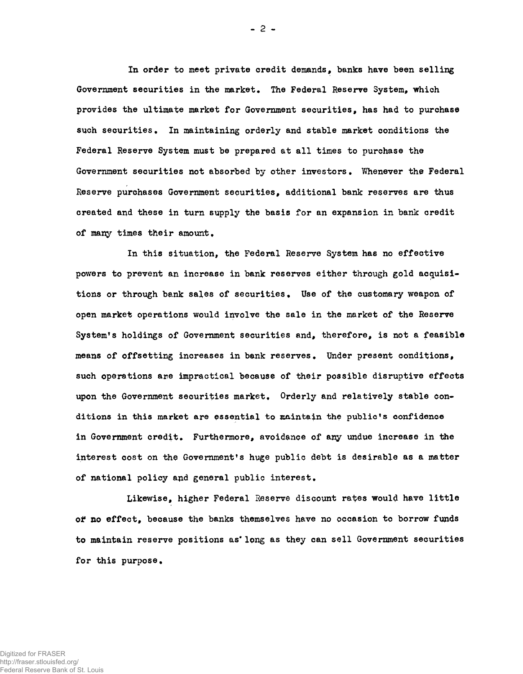In order to meet private credit demands, banks have been selling Government securities in the market. The Federal Reserve System, which provides the ultimate market for Government securities, has had to purchase such securities. In maintaining orderly and stable market conditions the Federal Reserve System must be prepared at all times to purchase the Government securities not absorbed by other investors. Whenever the Federal Reserve purchases Government securities, additional bank reserves are thus created and these in turn supply the basis for an expansion in bank credit of many times their amount.

In this situation, the Federal Reserve System has no effective powers to prevent an increase in bank reserves either through gold acquisitions or through bank sales of securities. Use of the customary weapon of open market operations would involve the sale in the market of the Reserve System's holdings of Government securities and, therefore, is not a feasible means of offsetting increases in bank reserves. Under present conditions, such operations are impractical because of their possible disruptive effects upon the Government securities market. Orderly and relatively stable conditions in this market are essential to maintain the public's confidence in Government credit. Furthermore, avoidance of any undue increase in the interest cost on the Government's huge public debt is desirable as a matter of national policy and general public interest.

Likewise, higher Federal Reserve discount rates would have little of no effect, because the banks themselves have no occasion to borrow funds to maintain reserve positions as'long as they can sell Government securities for this purpose.

 $-2 -$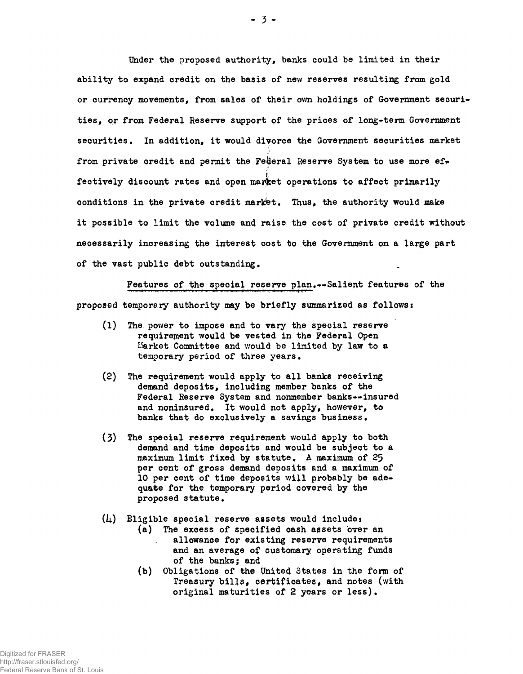Under the proposed authority, banks could be limited in their ability to expand credit on the basis of new reserves resulting from gold or currency movements, from sales of their own holdings of Government securities, or from Federal Reserve support of the prices of long-term Government securities. In addition, it would divorce the Government securities market from private credit and permit the Federal Reserve System to use more effectively discount rates and open market operations to affect primarily conditions in the private credit market. Thus, the authority would make it possible to limit the volume and raise the cost of private credit without necessarily increasing the interest cost to the Government on a large part of the vast public debt outstanding.

Features of the special reserve plan,—Salient features of the proposed temporary authority may be briefly summarized as follows:

- $(1)$  The power to impose and to vary the special reserve requirement would be vested in the Federal Open Market Committee and would be limited by law to a temporary period of three years.
- $(2)$  The requirement would apply to all banks receiving demand deposits, including member banks of the Federal Reserve System and nonmember banks--insured and noninsured. It would not apply, however, to banks that do exclusively a savings business.
- (3) The special reserve requirement would apply to both demand and time deposits and would be subject to a maximum limit fixed by statute. A maximum of  $25$ per cent of gross demand deposits and a maximum of 10 per cent of time deposits will probably be adequate for the temporary period covered by the proposed statute .

 $(l_4)$  Eligible special reserve assets would include:

- (a) The excess of specified cash assets over an allowance for existing reserve requirements and an average of customary operating funds of the banks; and
- (b) Obligations of the United States in the form of Treasury bills, certificates, and notes (with original maturities of  $2$  years or less).

 $-3 -$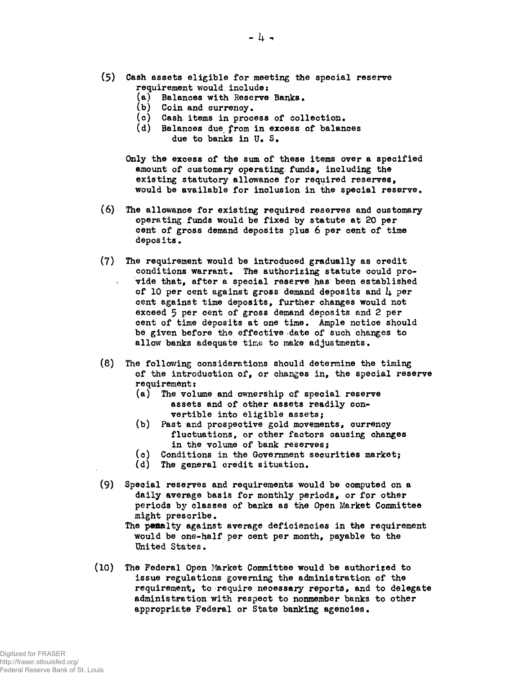- $(5)$  Cash assets eligible for meeting the special reserve requirement would include;
	- (a) Balances with Reserve Banks.
	- $(b)$  Coin and currency.
	- $(c)$  Cash items in process of collection.
	- (d) Balances due from in excess of balances due to banks in U.S.
	- Only the excess of the sum of these items over a specified amount of customary operating funds, including the existing statutory allowance for required reserves, would be available for inclusion in the special reserve.
- $(6)$ The allowance for existing required reserves and customary operating funds would be fixed by statute at 20 per cent of gross demand deposits plus 6 per cent of time depos its .
- $(7)$ The requirement would be introduced gradually as credit conditions warrant. The authorizing statute could provide that, after a special reserve has been established of 10 per cent against gross demand deposits and  $\mu$  per cent against time deposits, further changes would not exceed 5 per cent of gross demand deposits and 2 per cent of time deposits at one time. Ample notice should be given before the effective date of such changes to allow banks adequate time to make adjustments.
- $(8)$  The following considerations should determine the timing of the introduction of, or changes in, the special reserve requirement:
	- (a) The volume and ownership of special, reserve assets and of other assets readily convertible into eligible assets;
	- (b) Past and prospective gold movements, currency fluctuations, or other factors causing changes in the volume of bank reserves;
	- $(c)$  Conditions in the Government securities market;
	- (d) The general credit situation.
- (9) Special reserves and requirements would be computed on a daily average basis for monthly periods, or for other periods by classes of banks as the Open Market Committee might prescribe.
	- The penalty against average deficiencies in the requirement would be one-half per cent per month, payable to the United States.
- $(10)$ The Federal Open Market Committee would be authorised to issue regulations governing the administration of the requirement, to require necessary reports, and to delegate administration with respect to nonmember banks to other appropriate Federal or State banking agencies.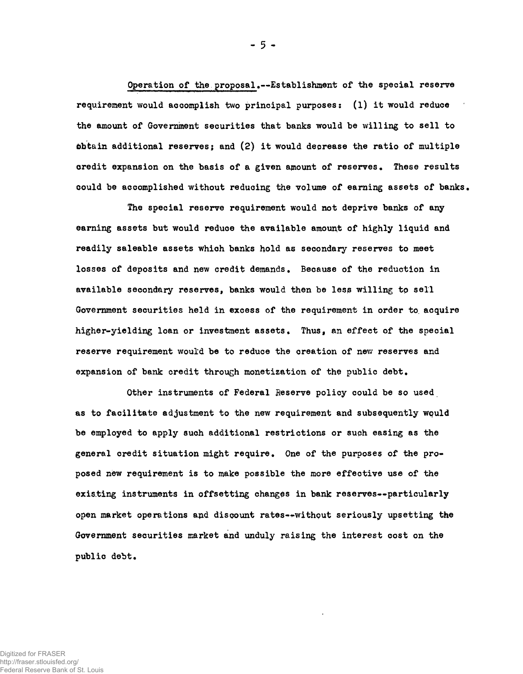Operation of the proposal.--Establishment of the special reserve requirement would accomplish two principal purposes:  $(1)$  it would reduce the amount of Government securities that banks would be willing to sell to obtain additional reserves; and  $(2)$  it would decrease the ratio of multiple credit expansion on the basis of a given amount of reserves. These results could be accomplished without reducing the volume of earning assets of banks.

The special reserve requirement would not deprive banks of any earning assets but would reduce the available amount of highly liquid and readily saleable assets which banks hold as secondary reserves to meet losses of deposits and new credit demands. Because of the reduction in available secondary reserves, banks would then be less willing to sell Government securities held in excess of the requirement in order to acquire higher-yielding loan or investment assets. Thus, an effect of the special reserve requirement would be to reduce the creation of new reserves and expansion of bank credit through monetization of the public debt.

Other instruments of Federal Reserve policy could be so used as to facilitate adjustment to the new requirement and subsequently would be employed to apply such additional restrictions or such easing as the general credit situation might require. One of the purposes of the proposed new requirement is to make possible the more effective use of the existing instruments in offsetting changes in bank reserves--particularly open market operations and discount rates--without seriously upsetting the Government securities market and unduly raising the interest cost on the public debt.

Digitized for FRASER http://fraser.stlouisfed.org/ Federal Reserve Bank of St. Louis - 5 -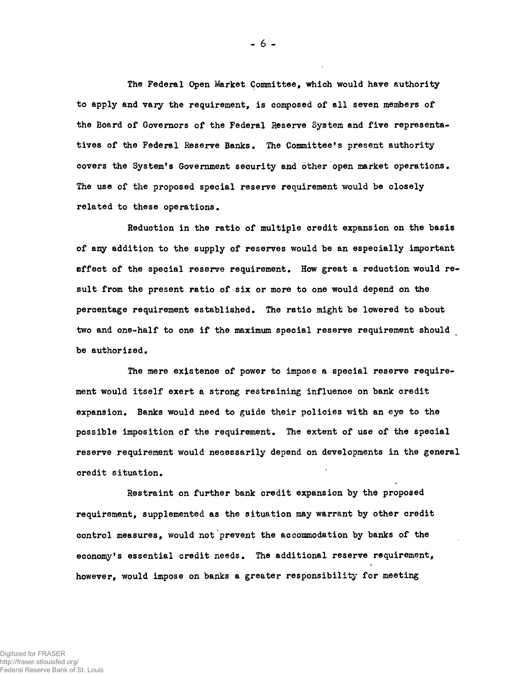The Federal Open Market Committee, which would have authority to apply and vary the requirement, is composed of all seven members of the Board of Governors of the Federal Reserve System and five representatives of the Federal Reserve Banks. The Committee's present authority covers the System's Government security and other open market operations. The use of the proposed special reserve requirement would be closely related to these operations.

Reduction in the ratio of multiple credit expansion on the basis of any addition to the supply of reserves would be an especially important effect of the special reserve requirement. How great a reduction would result from the present ratio of six or more to one would depend on the percentage requirement established. The ratio might be lowered to about two and one-half to one if the maximum special reserve requirement should be authorized.

The mere existence of power to impose a special reserve requirement would itself exert a strong restraining influence on bank credit expansion. Banks would need to guide their policies with an eye to the possible imposition of the requirement. The extent of use of the special reserve requirement would necessarily depend on developments in the general credit situation.

Restraint on further bank credit expansion by the proposed requirement, supplemented as the situation may warrant by other credit control measures, would not prevent the accommodation by banks of the economy's essential credit needs. The additional reserve requirement, however, would impose on banks a greater responsibility for meeting

- 6 -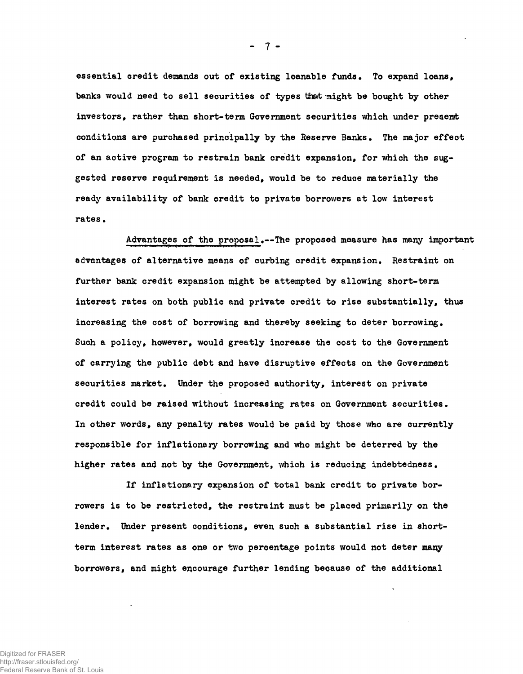essential credit demands out of existing loanable funds. To expand loans. banks would need to sell securities of types that might be bought by other investors, rather than short-term Government securities which under present conditions are purchased principally by the Reserve Banks. The major effect of an active program to restrain bank credit expansion, for which the suggested reserve requirement is needed, would be to reduce materially the ready availability of bank credit to private borrowers at low interest rates •

Advantages of the proposal.--The proposed measure has many important advantages of alternative means of curbing credit expansion. Restraint on further bank credit expansion might be attempted by allowing short-term interest rates on both public and private credit to rise substantially, thus increasing the cost of borrowing and thereby seeking to deter borrowing. Such a policy, however, would greatly increase the cost to the Government of carrying the public debt and have disruptive effects on the Government securities market. Under the proposed authority, interest on private credit could be raised without increasing rates on Government securities. In other words, any penalty rates would be paid by those who are currently responsible for inflationary borrowing and who might be deterred by the higher rates and not by the Government, which is reducing indebtedness.

If inflationary expansion of total bank credit to private borrowers is to be restricted, the restraint must be placed primarily on the lender. Under present conditions, even such a substantial rise in shortterm interest rates as one or two percentage points would not deter many borrowers, and might encourage further lending because of the additional

 $7 -$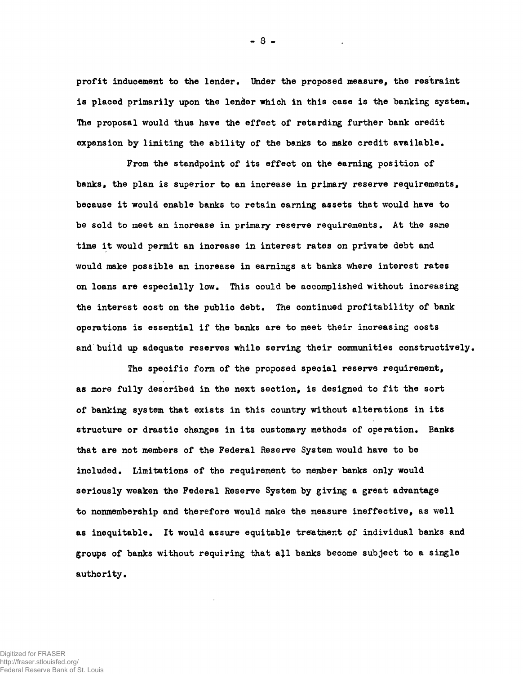profit inducement to the lender. Under the proposed measure, the restraint is placed primarily upon the lender which in this case is the banking system. The proposal would thus have the effect of retarding further bank credit expansion by limiting the ability of the banks to make credit available.

From the standpoint of its effect on the earning position of banks, the plan is superior to an increase in primary reserve requirements, because it would enable banks to retain earning assets that would have to be sold to meet an increase in primary reserve requirements. At the same time it would permit an increase in interest rates on private debt and would make possible an increase in earnings at banks where interest rates on loans are especially low. This could be accomplished without increasing the interest cost on the public debt. The continued profitability of bank operations is essential if the banks are to meet their increasing costs and build up adequate reserves while serving their communities constructively.

The specific form of the proposed special reserve requirement, as more fully described in the next section, is designed to fit the sort of banking system that exists in this country without alterations in its structure or drastic changes in its customary methods of operation. Banks that are not members of the Federal Reserve System would have to be included. Limitations of the requirement to member banks only would seriously weaken the Federal Reserve System by giving a great advantage to nonmembership and therefore would make the measure ineffective, as well as inequitable. It would assure equitable treatment of individual banks and groups of banks without requiring that all banks become subject to a single authority.

Digitized for FRASER http://fraser.stlouisfed.org/ Federal Reserve Bank of St. Louis - 8 -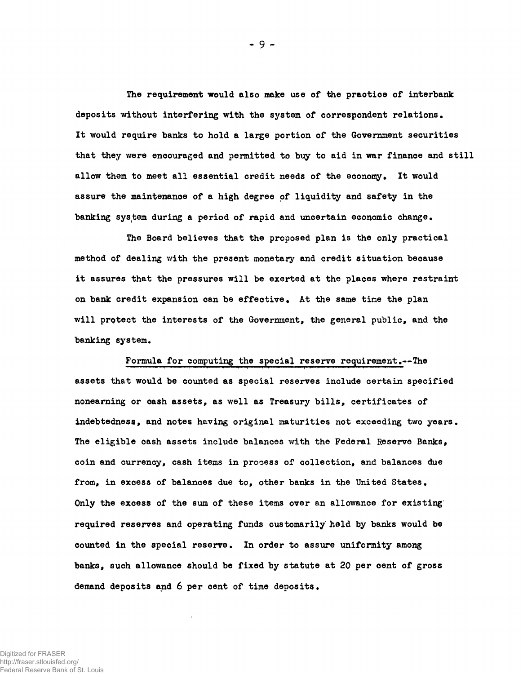The requirement would also make use of the practice of interbank deposits without interfering with the system of correspondent relations. It would require banks to hold a large portion of the Government securities that they were encouraged and permitted to buy to aid in war finance and still allow them to meet all essential credit needs of the economy. It would assure the maintenance of a high degree of liquidity and safety in the banking system during a period of rapid and uncertain economic change.

The Board believes that the proposed plan is the only practical method of dealing with the present monetary and credit situation because it assures that the pressures will be exerted at the places where restraint on bank credit expansion can be effective. At the same time the plan will protect the interests of the Government, the general public, and the banking system.

Formula for computing the special reserve requirement.--The assets that would be counted as special reserves include certain specified nonearning or cash assets, as well as Treasury bills, certificates of indebtedness, and notes having original maturities not exceeding two years . The eligible cash assets include balances with the Federal Reserve Banks, coin and currency, cash items in process of collection, and balances due from, in excess of balances due to, other banks in the United States. Only the excess of the sum of these items over an allowance for existing required reserves and operating funds customarily held by banks would be counted in the special reserve. In order to assure uniformity among banks, such allowance should be fixed by statute at 20 per cent of gross demand deposits and  $6$  per cent of time deposits.

- 9 **-**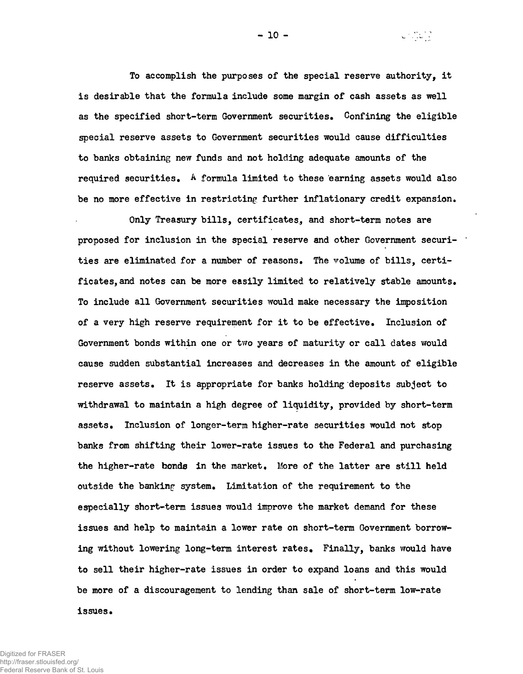To accomplish the purposes of the special reserve authority. it is desirable that the formula include some margin of cash assets as well as the specified short-term Government securities. Confining the eligible special reserve assets to Government securities would cause difficulties to banks obtaining new funds and not holding adequate amounts of the required securities.  $A$  formula limited to these earning assets would also be no more effective in restricting further inflationary credit expansion.

Only Treasury bills, certificates, and short-term notes are proposed for inclusion in the special reserve and other Government securities are eliminated for a number of reasons. The volume of bills, certificates, and notes can be more easily limited to relatively stable amounts. To include all Government securities would make necessary the imposition of a very high reserve requirement for it to be effective. Inclusion of Government bonds within one or two years of maturity or call dates would cause sudden substantial increases and decreases in the amount of eligible reserve assets. It is appropriate for banks holding deposits subject to withdrawal to maintain a high degree of liquidity, provided by short-term assets. Inclusion of longer-term higher-rate securities would not stop banks from shifting their lower-rate issues to the Federal and purchasing the higher-rate bonds in the market. More of the latter are still held outside the banking system. Limitation of the requirement to the especially short-term issues would improve the market demand for these issues and help to maintain a lower rate on short-term Government borrowing without lowering long-term interest rates. Finally, banks would have to sell their higher-rate issues in order to expand loans and this would be more of a discouragement to lending than sale of short-term low-rate issues.

Digitized for FRASER http://fraser.stlouisfed.org/ Federal Reserve Bank of St. Louis  $-10 -$ 

 $\omega \in \left[ \begin{smallmatrix} 1 & 0 & 0 \\ 0 & 0 & 0 \\ 0 & 0 & 0 \end{smallmatrix} \right]$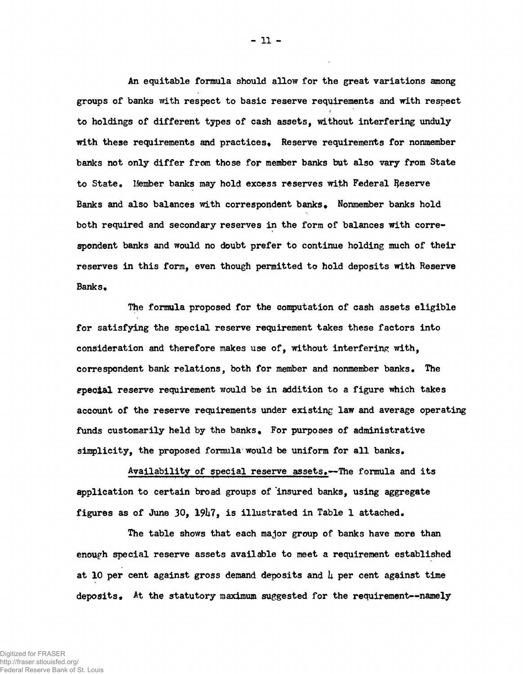An equitable formula should allow for the great variations among groups of banks with respect to basic reserve requirements and with respect to holdings of different types of cash assets, without interfering unduly with these requirements and practices. Reserve requirements for nonmember banks not only differ from those for member banks but also vary from State to State. Member banks may hold excess reserves with Federal Reserve Banks and also balances with correspondent banks. Nonmember banks hold both required and secondary reserves in the form of balances with correspondent banks and would no doubt prefer to continue holding much of their reserves in this form, even though permitted to hold deposits with Reserve Banks.

The formula proposed for the computation of cash assets eligible for satisfying the special reserve requirement takes these factors into consideration and therefore makes use of, without interfering with, correspondent bank relations, both for member and nonmember banks. The gpecial reserve requirement would be in addition to a figure which takes account of the reserve requirements under existing law and average operating funds customarily held by the banks. For purposes of administrative simplicity, the proposed formula would be uniform for all banks.

Availability of special reserve assets.--The formula and its application to certain broad groups of insured banks, using aggregate figures as of June 30,  $19\frac{1}{7}$ , is illustrated in Table 1 attached.

The table shows that each major group of banks have more than enough special reserve assets available to meet a requirement established at 10 per cent against gross demand deposits and  $\mu$  per cent against time deposits. At the statutory maximum suggested for the requirement--namely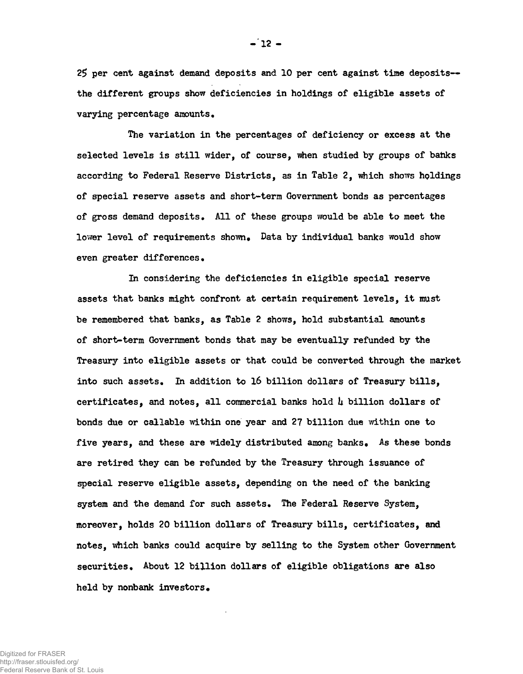25 per cent against demand deposits and 10 per cent against time deposits-the different groups show deficiencies in holdings of eligible assets of varying percentage amounts.

The variation in the percentages of deficiency or excess at the selected levels is still wider, of course, when studied by groups of banks according to Federal Reserve Districts, as in Table 2, which shows holdings of special reserve assets and short-term Government bonds as percentages of gross demand deposits. All of these groups would be able to meet the lower level of requirements shown. Data by individual banks would show even greater differences .

In considering the deficiencies in eligible special reserve assets that banks might confront at certain requirement levels, it must be remembered that banks, as Table 2 shows, hold substantial amounts of short-term Government bonds that may be eventually refunded by the Treasury into eligible assets or that could be converted through the market into such assets. In addition to 16 billion dollars of Treasury bills. certificates, and notes, all commercial banks hold  $\mu$  billion dollars of bonds due or callable within one year and 27 billion due within one to five years, and these are widely distributed among banks. As these bonds are retired they can be refunded by the Treasury through issuance of special reserve eligible assets, depending on the need of the banking system and the demand for such assets. The Federal Reserve System, moreover, holds 20 billion dollars of Treasury bills, certificates, and notes, which banks could acquire by selling to the System other Government securities. About 12 billion dollars of eligible obligations are also held by nonbank investors.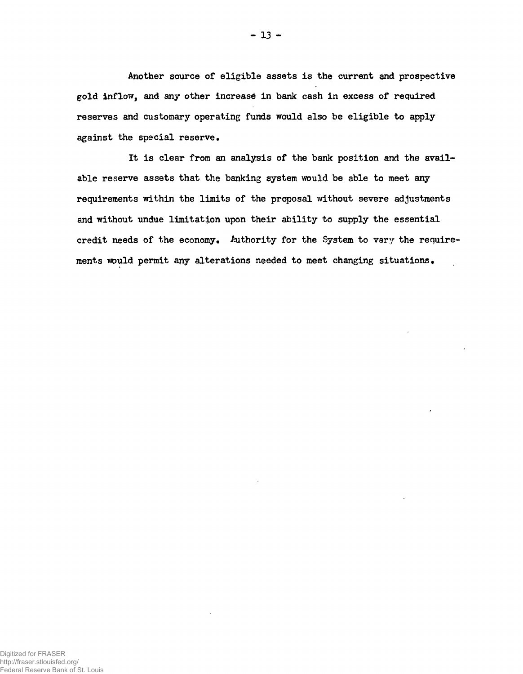Another source of eligible assets is the current and prospective gold inflow, and any other increase in bank cash in excess of required reserves and customary operating funds would also be eligible to apply against the special reserve.

It is clear from an analysis of the bank position and the available reserve assets that the banking system would be able to meet any requirements within the limits of the proposal without severe adjustments and without undue limitation upon their ability to supply the essential credit needs of the economy. Authority for the System to vary the requirements would permit any alterations needed to meet changing situations.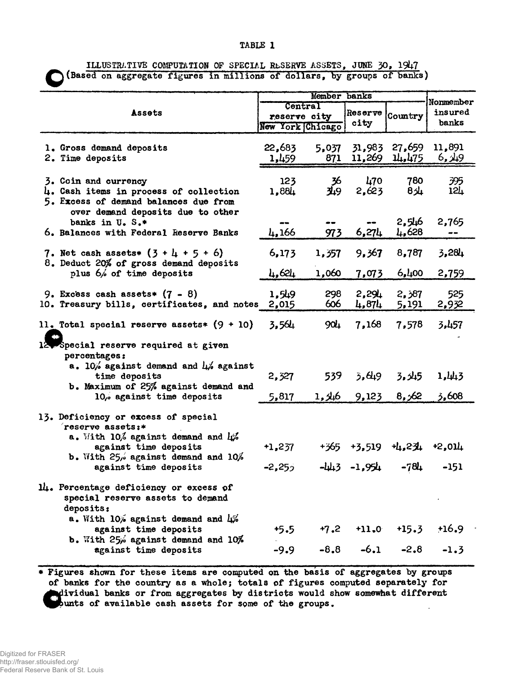## TABLE 1

ILLUSTRATIVE COMPUTATION OF SPECIAL RbSERVE ASSETS, JUNE 30, 1947

(Based on aggregate figures in millions of dollars, by groups of banks)

|                                                                                                                                                                                                       | Member banks          |                                             |                            |                         |                               |
|-------------------------------------------------------------------------------------------------------------------------------------------------------------------------------------------------------|-----------------------|---------------------------------------------|----------------------------|-------------------------|-------------------------------|
| Assets                                                                                                                                                                                                |                       | Central<br>reserve city<br>New York Chicago |                            | Country                 | Nonmember<br>insured<br>banks |
| 1. Gross demand deposits<br>2. Time deposits                                                                                                                                                          | 22,683<br>1,459       | 5,037<br>871                                | 11,269                     | 31,983 27,659<br>14,475 | 11,891<br>6, 49               |
| 3. Coin and currency<br>4. Cash items in process of collection<br>5. Excess of demand balances due from                                                                                               | 123<br>1,884          | 36<br>9بار                                  | 470<br>2,623               | 780<br>8/4              | 395<br>124                    |
| over demand deposits due to other<br>banks in U.S.*<br>6. Balances with Federal Reserve Banks                                                                                                         | 4,166                 | 973                                         | 6,274                      | 2,546<br>4,628          | 2,765                         |
| 7. Net cash assets* $(3 + 1 + 5 + 6)$<br>8. Deduct 20% of gross demand deposits<br>plus 6% of time deposits                                                                                           | 6,173                 | 1,357                                       | 9,367                      | 8,787                   | 3,284                         |
|                                                                                                                                                                                                       | 4,624                 | 1,060                                       | 7,073                      | 6,400                   | 2,759                         |
| 9. Excess cash assets* $(7 - 8)$<br>10. Treasury bills, certificates, and notes                                                                                                                       | 1,549<br>2,015        | 298<br>606                                  | 2,291<br>4,874             | 2,387<br>5,191          | 525<br>2,932                  |
| 11. Total special reserve assets* $(9 + 10)$                                                                                                                                                          | 3,564                 | 904                                         | 7,168                      | 7,578                   | 3,457                         |
| Special reserve required at given<br>percentages:<br>a. 10% against demand and $\mu$ % against<br>time deposits<br>b. Maximum of 25% against demand and<br>10, against time deposits                  | 2,327                 | 539                                         | 3.649                      | 3,345                   | 1,443                         |
|                                                                                                                                                                                                       | 5,817                 | 1, 46                                       | 9,123                      | 8,62                    | 3,608                         |
| 13. Deficiency or excess of special<br>$r$ eserve assets:*<br>a. With $10\%$ against demand and $\mu\%$<br>against time deposits<br>b. With $25/6$ against demand and $10/6$<br>against time deposits | $+1,237$<br>$-2,25,7$ | +365                                        | $+3,519$<br>$-443 - 1,954$ | 山.234<br>$-784$         | $+2,011$<br>$-151$            |
| 14. Percentage deficiency or excess of<br>special reserve assets to demand<br>deposits:<br>a. With $10\%$ against demand and $\frac{1}{2}$                                                            |                       |                                             |                            |                         |                               |
| against time deposits<br>b. With $25\%$ against demand and $10\%$                                                                                                                                     | $+5.5$                | $+7,2$                                      | $+11.0$                    | $+15.3$                 | $+16.9$                       |
| against time deposits                                                                                                                                                                                 | $-9.9$                | $-8,8$                                      | $-6.1$                     | $-2.8$                  | $-1.3$                        |

\* Figures shown for these items are computed on the basis of aggregates by groups of banks for the country as a whole; totals of figures computed separately for dividual banks or from aggregates by districts would show somewhat different bunts of available cash assets for some of the groups.